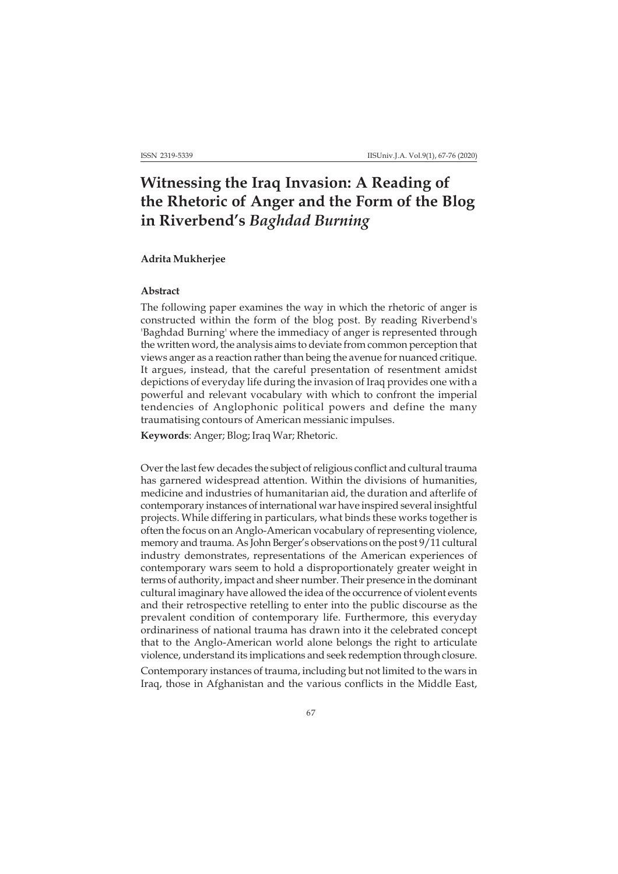# **Witnessing the Iraq Invasion: A Reading of the Rhetoric of Anger and the Form of the Blog in Riverbend's** *Baghdad Burning*

## **Adrita Mukherjee**

### **Abstract**

The following paper examines the way in which the rhetoric of anger is constructed within the form of the blog post. By reading Riverbend's 'Baghdad Burning' where the immediacy of anger is represented through the written word, the analysis aims to deviate from common perception that views anger as a reaction rather than being the avenue for nuanced critique. It argues, instead, that the careful presentation of resentment amidst depictions of everyday life during the invasion of Iraq provides one with a powerful and relevant vocabulary with which to confront the imperial tendencies of Anglophonic political powers and define the many traumatising contours of American messianic impulses.

**Keywords**: Anger; Blog; Iraq War; Rhetoric.

Over the last few decades the subject of religious conflict and cultural trauma has garnered widespread attention. Within the divisions of humanities, medicine and industries of humanitarian aid, the duration and afterlife of contemporary instances of international war have inspired several insightful projects. While differing in particulars, what binds these works together is often the focus on an Anglo-American vocabulary of representing violence, memory and trauma. As John Berger's observations on the post 9/11 cultural industry demonstrates, representations of the American experiences of contemporary wars seem to hold a disproportionately greater weight in terms of authority, impact and sheer number. Their presence in the dominant cultural imaginary have allowed the idea of the occurrence of violent events and their retrospective retelling to enter into the public discourse as the prevalent condition of contemporary life. Furthermore, this everyday ordinariness of national trauma has drawn into it the celebrated concept that to the Anglo-American world alone belongs the right to articulate violence, understand its implications and seek redemption through closure.

Contemporary instances of trauma, including but not limited to the wars in Iraq, those in Afghanistan and the various conflicts in the Middle East,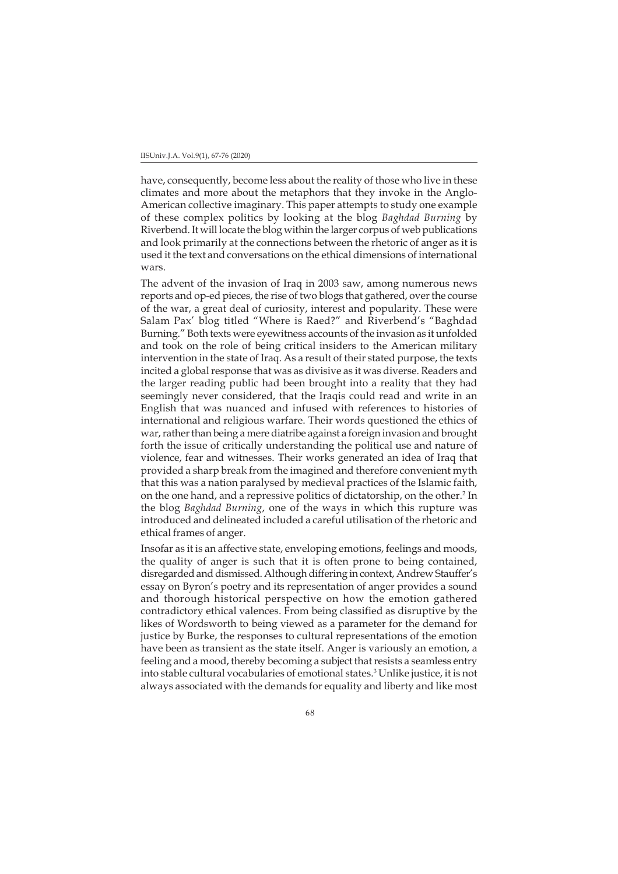#### IISUniv.J.A. Vol.9(1), 67-76 (2020)

have, consequently, become less about the reality of those who live in these climates and more about the metaphors that they invoke in the Anglo-American collective imaginary. This paper attempts to study one example of these complex politics by looking at the blog *Baghdad Burning* by Riverbend. It will locate the blog within the larger corpus of web publications and look primarily at the connections between the rhetoric of anger as it is used it the text and conversations on the ethical dimensions of international wars.

The advent of the invasion of Iraq in 2003 saw, among numerous news reports and op-ed pieces, the rise of two blogs that gathered, over the course of the war, a great deal of curiosity, interest and popularity. These were Salam Pax' blog titled "Where is Raed?" and Riverbend's "Baghdad Burning." Both texts were eyewitness accounts of the invasion as it unfolded and took on the role of being critical insiders to the American military intervention in the state of Iraq. As a result of their stated purpose, the texts incited a global response that was as divisive as it was diverse. Readers and the larger reading public had been brought into a reality that they had seemingly never considered, that the Iraqis could read and write in an English that was nuanced and infused with references to histories of international and religious warfare. Their words questioned the ethics of war, rather than being a mere diatribe against a foreign invasion and brought forth the issue of critically understanding the political use and nature of violence, fear and witnesses. Their works generated an idea of Iraq that provided a sharp break from the imagined and therefore convenient myth that this was a nation paralysed by medieval practices of the Islamic faith, on the one hand, and a repressive politics of dictatorship, on the other.<sup>2</sup> In the blog *Baghdad Burning*, one of the ways in which this rupture was introduced and delineated included a careful utilisation of the rhetoric and ethical frames of anger.

Insofar as it is an affective state, enveloping emotions, feelings and moods, the quality of anger is such that it is often prone to being contained, disregarded and dismissed. Although differing in context, Andrew Stauffer's essay on Byron's poetry and its representation of anger provides a sound and thorough historical perspective on how the emotion gathered contradictory ethical valences. From being classified as disruptive by the likes of Wordsworth to being viewed as a parameter for the demand for justice by Burke, the responses to cultural representations of the emotion have been as transient as the state itself. Anger is variously an emotion, a feeling and a mood, thereby becoming a subject that resists a seamless entry into stable cultural vocabularies of emotional states.3 Unlike justice, it is not always associated with the demands for equality and liberty and like most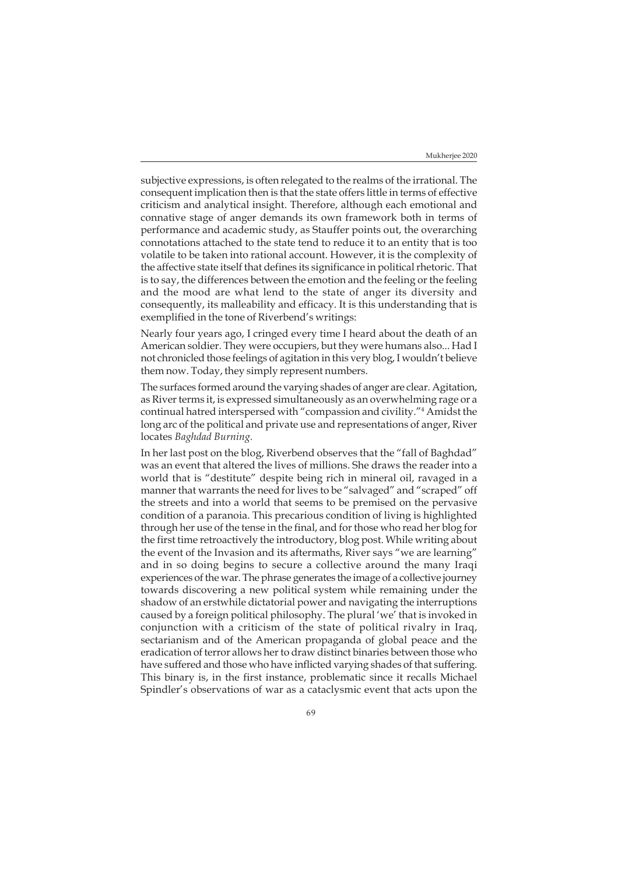subjective expressions, is often relegated to the realms of the irrational. The consequent implication then is that the state offers little in terms of effective criticism and analytical insight. Therefore, although each emotional and connative stage of anger demands its own framework both in terms of performance and academic study, as Stauffer points out, the overarching connotations attached to the state tend to reduce it to an entity that is too volatile to be taken into rational account. However, it is the complexity of the affective state itself that defines its significance in political rhetoric. That is to say, the differences between the emotion and the feeling or the feeling and the mood are what lend to the state of anger its diversity and consequently, its malleability and efficacy. It is this understanding that is exemplified in the tone of Riverbend's writings:

Nearly four years ago, I cringed every time I heard about the death of an American soldier. They were occupiers, but they were humans also... Had I not chronicled those feelings of agitation in this very blog, I wouldn't believe them now. Today, they simply represent numbers.

The surfaces formed around the varying shades of anger are clear. Agitation, as River terms it, is expressed simultaneously as an overwhelming rage or a continual hatred interspersed with "compassion and civility."4 Amidst the long arc of the political and private use and representations of anger, River locates *Baghdad Burning.*

In her last post on the blog, Riverbend observes that the "fall of Baghdad" was an event that altered the lives of millions. She draws the reader into a world that is "destitute" despite being rich in mineral oil, ravaged in a manner that warrants the need for lives to be "salvaged" and "scraped" off the streets and into a world that seems to be premised on the pervasive condition of a paranoia. This precarious condition of living is highlighted through her use of the tense in the final, and for those who read her blog for the first time retroactively the introductory, blog post. While writing about the event of the Invasion and its aftermaths, River says "we are learning" and in so doing begins to secure a collective around the many Iraqi experiences of the war. The phrase generates the image of a collective journey towards discovering a new political system while remaining under the shadow of an erstwhile dictatorial power and navigating the interruptions caused by a foreign political philosophy. The plural 'we' that is invoked in conjunction with a criticism of the state of political rivalry in Iraq, sectarianism and of the American propaganda of global peace and the eradication of terror allows her to draw distinct binaries between those who have suffered and those who have inflicted varying shades of that suffering. This binary is, in the first instance, problematic since it recalls Michael Spindler's observations of war as a cataclysmic event that acts upon the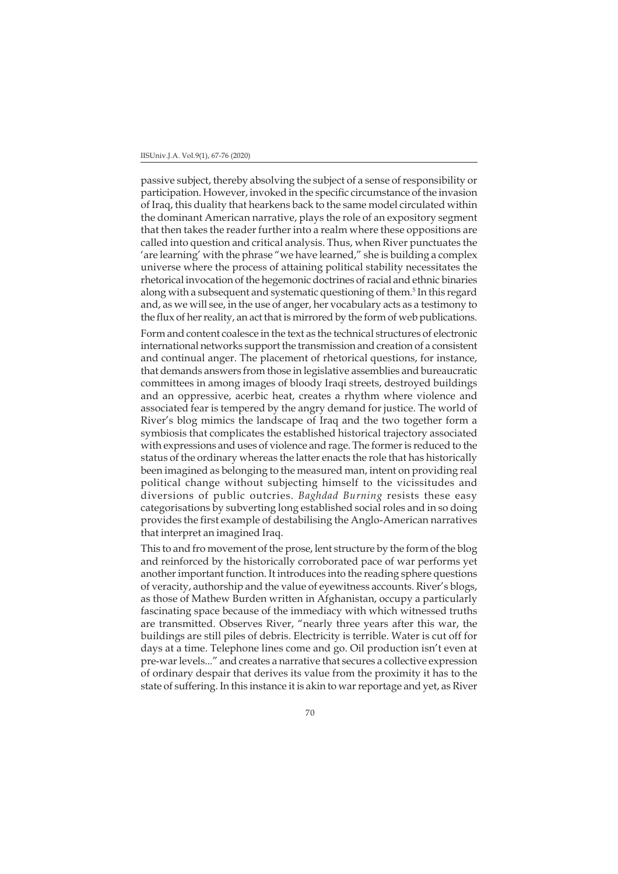#### IISUniv.J.A. Vol.9(1), 67-76 (2020)

passive subject, thereby absolving the subject of a sense of responsibility or participation. However, invoked in the specific circumstance of the invasion of Iraq, this duality that hearkens back to the same model circulated within the dominant American narrative, plays the role of an expository segment that then takes the reader further into a realm where these oppositions are called into question and critical analysis. Thus, when River punctuates the 'are learning' with the phrase "we have learned," she is building a complex universe where the process of attaining political stability necessitates the rhetorical invocation of the hegemonic doctrines of racial and ethnic binaries along with a subsequent and systematic questioning of them.<sup>5</sup> In this regard and, as we will see, in the use of anger, her vocabulary acts as a testimony to the flux of her reality, an act that is mirrored by the form of web publications.

Form and content coalesce in the text as the technical structures of electronic international networks support the transmission and creation of a consistent and continual anger. The placement of rhetorical questions, for instance, that demands answers from those in legislative assemblies and bureaucratic committees in among images of bloody Iraqi streets, destroyed buildings and an oppressive, acerbic heat, creates a rhythm where violence and associated fear is tempered by the angry demand for justice. The world of River's blog mimics the landscape of Iraq and the two together form a symbiosis that complicates the established historical trajectory associated with expressions and uses of violence and rage. The former is reduced to the status of the ordinary whereas the latter enacts the role that has historically been imagined as belonging to the measured man, intent on providing real political change without subjecting himself to the vicissitudes and diversions of public outcries. *Baghdad Burning* resists these easy categorisations by subverting long established social roles and in so doing provides the first example of destabilising the Anglo-American narratives that interpret an imagined Iraq.

This to and fro movement of the prose, lent structure by the form of the blog and reinforced by the historically corroborated pace of war performs yet another important function. It introduces into the reading sphere questions of veracity, authorship and the value of eyewitness accounts. River's blogs, as those of Mathew Burden written in Afghanistan, occupy a particularly fascinating space because of the immediacy with which witnessed truths are transmitted. Observes River, "nearly three years after this war, the buildings are still piles of debris. Electricity is terrible. Water is cut off for days at a time. Telephone lines come and go. Oil production isn't even at pre-war levels..." and creates a narrative that secures a collective expression of ordinary despair that derives its value from the proximity it has to the state of suffering. In this instance it is akin to war reportage and yet, as River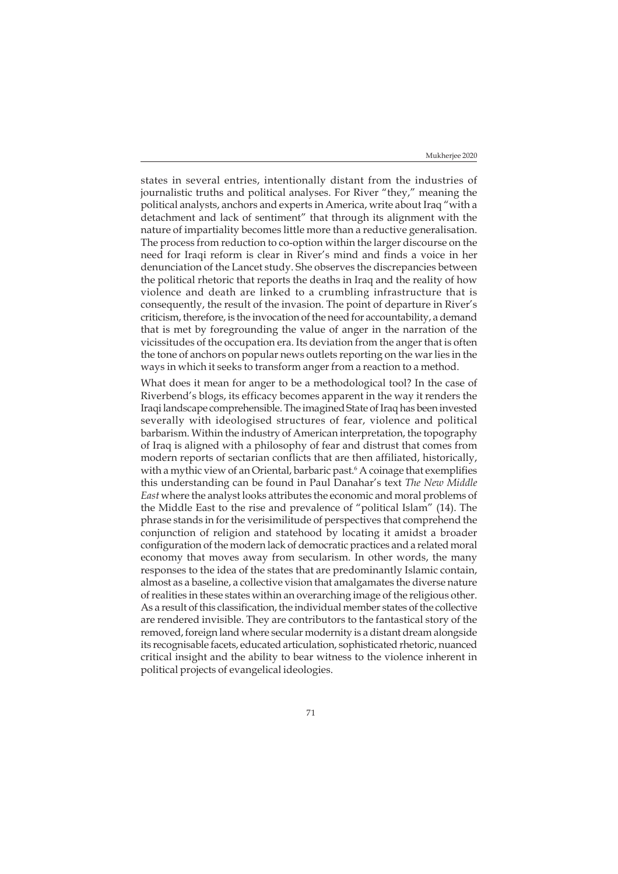states in several entries, intentionally distant from the industries of journalistic truths and political analyses. For River "they," meaning the political analysts, anchors and experts in America, write about Iraq "with a detachment and lack of sentiment" that through its alignment with the nature of impartiality becomes little more than a reductive generalisation. The process from reduction to co-option within the larger discourse on the need for Iraqi reform is clear in River's mind and finds a voice in her denunciation of the Lancet study. She observes the discrepancies between the political rhetoric that reports the deaths in Iraq and the reality of how violence and death are linked to a crumbling infrastructure that is consequently, the result of the invasion. The point of departure in River's criticism, therefore, is the invocation of the need for accountability, a demand that is met by foregrounding the value of anger in the narration of the vicissitudes of the occupation era. Its deviation from the anger that is often the tone of anchors on popular news outlets reporting on the war lies in the ways in which it seeks to transform anger from a reaction to a method.

What does it mean for anger to be a methodological tool? In the case of Riverbend's blogs, its efficacy becomes apparent in the way it renders the Iraqi landscape comprehensible. The imagined State of Iraq has been invested severally with ideologised structures of fear, violence and political barbarism. Within the industry of American interpretation, the topography of Iraq is aligned with a philosophy of fear and distrust that comes from modern reports of sectarian conflicts that are then affiliated, historically, with a mythic view of an Oriental, barbaric past.<sup>6</sup> A coinage that exemplifies this understanding can be found in Paul Danahar's text *The New Middle East* where the analyst looks attributes the economic and moral problems of the Middle East to the rise and prevalence of "political Islam" (14). The phrase stands in for the verisimilitude of perspectives that comprehend the conjunction of religion and statehood by locating it amidst a broader configuration of the modern lack of democratic practices and a related moral economy that moves away from secularism. In other words, the many responses to the idea of the states that are predominantly Islamic contain, almost as a baseline, a collective vision that amalgamates the diverse nature of realities in these states within an overarching image of the religious other. As a result of this classification, the individual member states of the collective are rendered invisible. They are contributors to the fantastical story of the removed, foreign land where secular modernity is a distant dream alongside its recognisable facets, educated articulation, sophisticated rhetoric, nuanced critical insight and the ability to bear witness to the violence inherent in political projects of evangelical ideologies.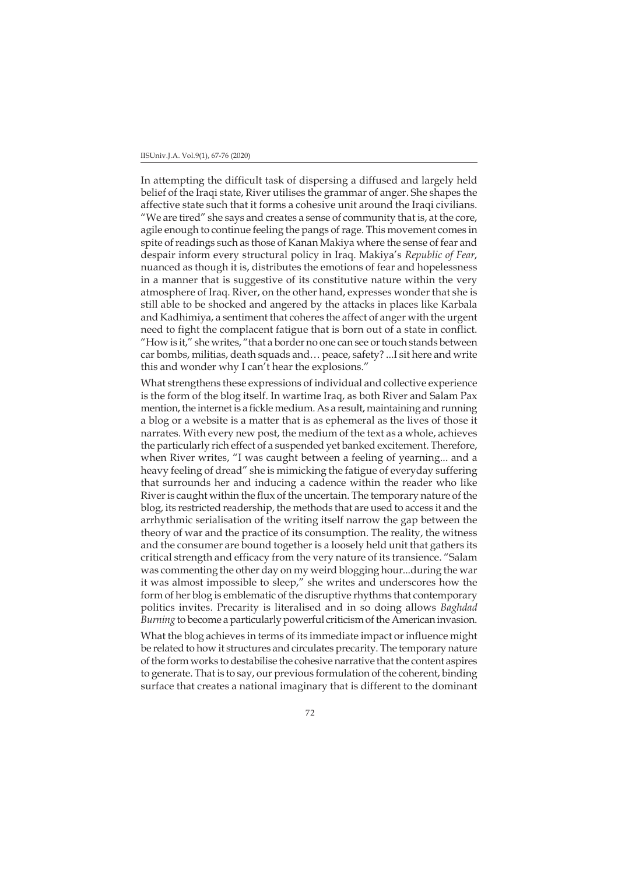#### IISUniv.J.A. Vol.9(1), 67-76 (2020)

In attempting the difficult task of dispersing a diffused and largely held belief of the Iraqi state, River utilises the grammar of anger. She shapes the affective state such that it forms a cohesive unit around the Iraqi civilians. "We are tired" she says and creates a sense of community that is, at the core, agile enough to continue feeling the pangs of rage. This movement comes in spite of readings such as those of Kanan Makiya where the sense of fear and despair inform every structural policy in Iraq. Makiya's *Republic of Fear*, nuanced as though it is, distributes the emotions of fear and hopelessness in a manner that is suggestive of its constitutive nature within the very atmosphere of Iraq. River, on the other hand, expresses wonder that she is still able to be shocked and angered by the attacks in places like Karbala and Kadhimiya, a sentiment that coheres the affect of anger with the urgent need to fight the complacent fatigue that is born out of a state in conflict. "How is it," she writes, "that a border no one can see or touch stands between car bombs, militias, death squads and… peace, safety? ...I sit here and write this and wonder why I can't hear the explosions."

What strengthens these expressions of individual and collective experience is the form of the blog itself. In wartime Iraq, as both River and Salam Pax mention, the internet is a fickle medium. As a result, maintaining and running a blog or a website is a matter that is as ephemeral as the lives of those it narrates. With every new post, the medium of the text as a whole, achieves the particularly rich effect of a suspended yet banked excitement. Therefore, when River writes, "I was caught between a feeling of yearning... and a heavy feeling of dread" she is mimicking the fatigue of everyday suffering that surrounds her and inducing a cadence within the reader who like River is caught within the flux of the uncertain. The temporary nature of the blog, its restricted readership, the methods that are used to access it and the arrhythmic serialisation of the writing itself narrow the gap between the theory of war and the practice of its consumption. The reality, the witness and the consumer are bound together is a loosely held unit that gathers its critical strength and efficacy from the very nature of its transience. "Salam was commenting the other day on my weird blogging hour...during the war it was almost impossible to sleep," she writes and underscores how the form of her blog is emblematic of the disruptive rhythms that contemporary politics invites. Precarity is literalised and in so doing allows *Baghdad Burning* to become a particularly powerful criticism of the American invasion.

What the blog achieves in terms of its immediate impact or influence might be related to how it structures and circulates precarity. The temporary nature of the form works to destabilise the cohesive narrative that the content aspires to generate. That is to say, our previous formulation of the coherent, binding surface that creates a national imaginary that is different to the dominant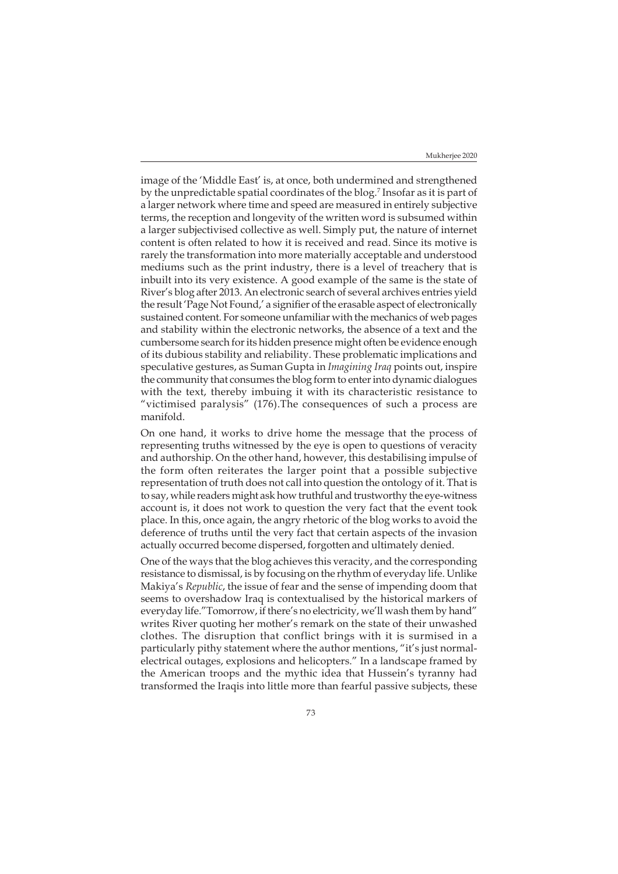image of the 'Middle East' is, at once, both undermined and strengthened by the unpredictable spatial coordinates of the blog.<sup>7</sup> Insofar as it is part of a larger network where time and speed are measured in entirely subjective terms, the reception and longevity of the written word is subsumed within a larger subjectivised collective as well. Simply put, the nature of internet content is often related to how it is received and read. Since its motive is rarely the transformation into more materially acceptable and understood mediums such as the print industry, there is a level of treachery that is inbuilt into its very existence. A good example of the same is the state of River's blog after 2013. An electronic search of several archives entries yield the result 'Page Not Found,' a signifier of the erasable aspect of electronically sustained content. For someone unfamiliar with the mechanics of web pages and stability within the electronic networks, the absence of a text and the cumbersome search for its hidden presence might often be evidence enough of its dubious stability and reliability. These problematic implications and speculative gestures, as Suman Gupta in *Imagining Iraq* points out, inspire the community that consumes the blog form to enter into dynamic dialogues with the text, thereby imbuing it with its characteristic resistance to "victimised paralysis" (176).The consequences of such a process are manifold.

On one hand, it works to drive home the message that the process of representing truths witnessed by the eye is open to questions of veracity and authorship. On the other hand, however, this destabilising impulse of the form often reiterates the larger point that a possible subjective representation of truth does not call into question the ontology of it. That is to say, while readers might ask how truthful and trustworthy the eye-witness account is, it does not work to question the very fact that the event took place. In this, once again, the angry rhetoric of the blog works to avoid the deference of truths until the very fact that certain aspects of the invasion actually occurred become dispersed, forgotten and ultimately denied.

One of the ways that the blog achieves this veracity, and the corresponding resistance to dismissal, is by focusing on the rhythm of everyday life. Unlike Makiya's *Republic*, the issue of fear and the sense of impending doom that seems to overshadow Iraq is contextualised by the historical markers of everyday life."Tomorrow, if there's no electricity, we'll wash them by hand" writes River quoting her mother's remark on the state of their unwashed clothes. The disruption that conflict brings with it is surmised in a particularly pithy statement where the author mentions, "it's just normalelectrical outages, explosions and helicopters." In a landscape framed by the American troops and the mythic idea that Hussein's tyranny had transformed the Iraqis into little more than fearful passive subjects, these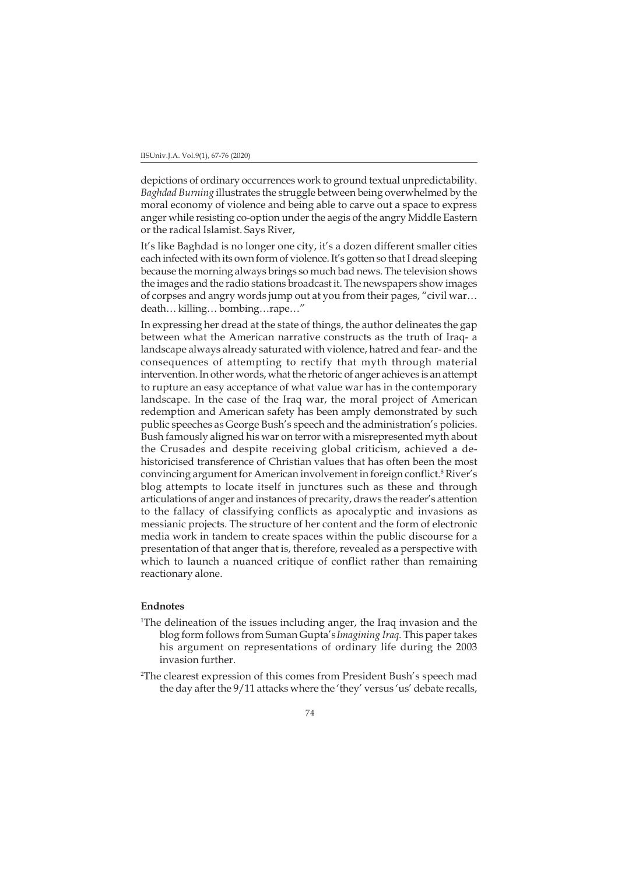depictions of ordinary occurrences work to ground textual unpredictability. *Baghdad Burning* illustrates the struggle between being overwhelmed by the moral economy of violence and being able to carve out a space to express anger while resisting co-option under the aegis of the angry Middle Eastern or the radical Islamist. Says River,

It's like Baghdad is no longer one city, it's a dozen different smaller cities each infected with its own form of violence. It's gotten so that I dread sleeping because the morning always brings so much bad news. The television shows the images and the radio stations broadcast it. The newspapers show images of corpses and angry words jump out at you from their pages, "civil war… death… killing… bombing…rape…"

In expressing her dread at the state of things, the author delineates the gap between what the American narrative constructs as the truth of Iraq- a landscape always already saturated with violence, hatred and fear- and the consequences of attempting to rectify that myth through material intervention. In other words, what the rhetoric of anger achieves is an attempt to rupture an easy acceptance of what value war has in the contemporary landscape. In the case of the Iraq war, the moral project of American redemption and American safety has been amply demonstrated by such public speeches as George Bush's speech and the administration's policies. Bush famously aligned his war on terror with a misrepresented myth about the Crusades and despite receiving global criticism, achieved a dehistoricised transference of Christian values that has often been the most convincing argument for American involvement in foreign conflict.<sup>8</sup> River's blog attempts to locate itself in junctures such as these and through articulations of anger and instances of precarity, draws the reader's attention to the fallacy of classifying conflicts as apocalyptic and invasions as messianic projects. The structure of her content and the form of electronic media work in tandem to create spaces within the public discourse for a presentation of that anger that is, therefore, revealed as a perspective with which to launch a nuanced critique of conflict rather than remaining reactionary alone.

# **Endnotes**

- 1 The delineation of the issues including anger, the Iraq invasion and the blog form follows from Suman Gupta's*Imagining Iraq.* This paper takes his argument on representations of ordinary life during the 2003 invasion further.
- 2 The clearest expression of this comes from President Bush's speech mad the day after the 9/11 attacks where the 'they' versus 'us' debate recalls,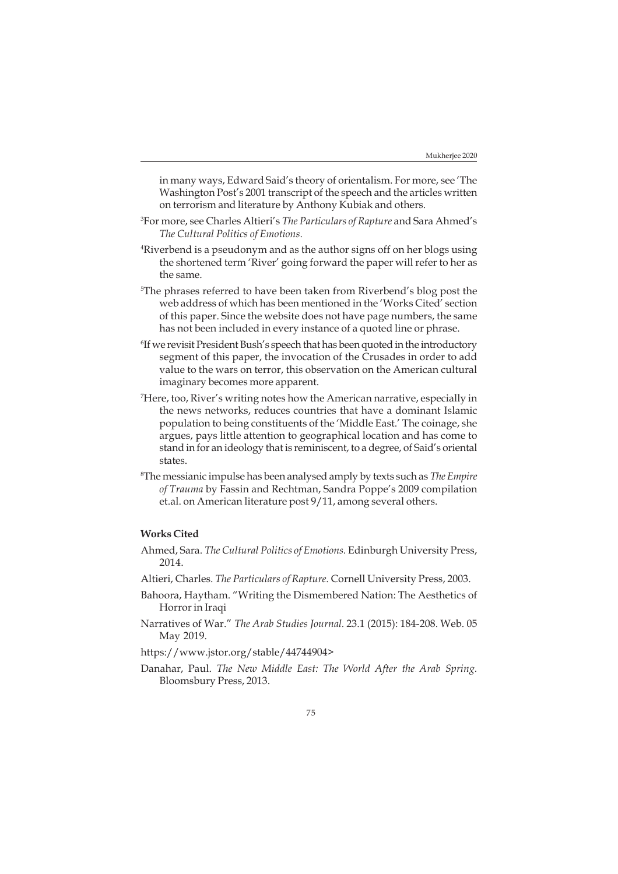in many ways, Edward Said's theory of orientalism. For more, see 'The Washington Post's 2001 transcript of the speech and the articles written on terrorism and literature by Anthony Kubiak and others.

- 3 For more, see Charles Altieri's *The Particulars of Rapture* and Sara Ahmed's *The Cultural Politics of Emotions.*
- 4 Riverbend is a pseudonym and as the author signs off on her blogs using the shortened term 'River' going forward the paper will refer to her as the same.
- 5 The phrases referred to have been taken from Riverbend's blog post the web address of which has been mentioned in the 'Works Cited' section of this paper. Since the website does not have page numbers, the same has not been included in every instance of a quoted line or phrase.
- 6 If we revisit President Bush's speech that has been quoted in the introductory segment of this paper, the invocation of the Crusades in order to add value to the wars on terror, this observation on the American cultural imaginary becomes more apparent.
- 7 Here, too, River's writing notes how the American narrative, especially in the news networks, reduces countries that have a dominant Islamic population to being constituents of the 'Middle East.' The coinage, she argues, pays little attention to geographical location and has come to stand in for an ideology that is reminiscent, to a degree, of Said's oriental states.
- 8 The messianic impulse has been analysed amply by texts such as *The Empire of Trauma* by Fassin and Rechtman, Sandra Poppe's 2009 compilation et.al. on American literature post 9/11, among several others.

## **Works Cited**

- Ahmed, Sara. *The Cultural Politics of Emotions.* Edinburgh University Press, 2014.
- Altieri, Charles. *The Particulars of Rapture.* Cornell University Press, 2003.
- Bahoora, Haytham. "Writing the Dismembered Nation: The Aesthetics of Horror in Iraqi
- Narratives of War." *The Arab Studies Journal.* 23.1 (2015): 184-208. Web. 05 May 2019.
- https://www.jstor.org/stable/44744904>
- Danahar, Paul. *The New Middle East: The World After the Arab Spring.* Bloomsbury Press, 2013.